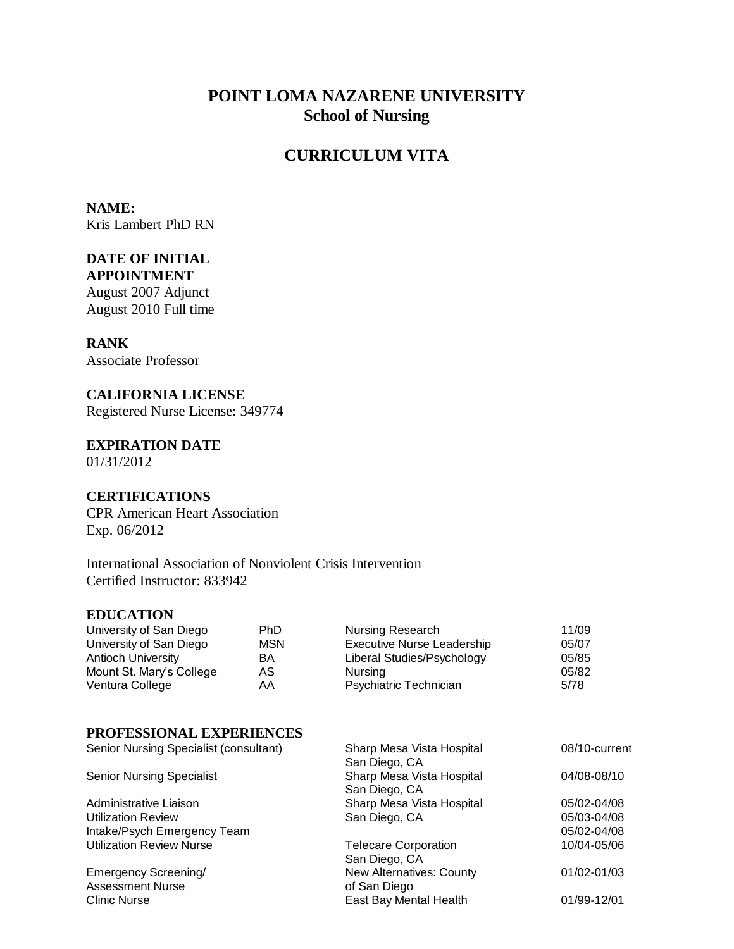# **POINT LOMA NAZARENE UNIVERSITY School of Nursing**

# **CURRICULUM VITA**

**NAME:**  Kris Lambert PhD RN

### **DATE OF INITIAL APPOINTMENT**

August 2007 Adjunct August 2010 Full time

## **RANK**

Associate Professor

**CALIFORNIA LICENSE** Registered Nurse License: 349774

**EXPIRATION DATE** 01/31/2012

## **CERTIFICATIONS**

CPR American Heart Association Exp. 06/2012

International Association of Nonviolent Crisis Intervention Certified Instructor: 833942

#### **EDUCATION**

| University of San Diego  | <b>PhD</b> | Nursing Research                  | 11/09 |
|--------------------------|------------|-----------------------------------|-------|
| University of San Diego  | <b>MSN</b> | <b>Executive Nurse Leadership</b> | 05/07 |
| Antioch University       | BA         | Liberal Studies/Psychology        | 05/85 |
| Mount St. Mary's College | AS         | Nursina                           | 05/82 |
| Ventura College          | AA         | <b>Psychiatric Technician</b>     | 5/78  |

## **PROFESSIONAL EXPERIENCES**

| Senior Nursing Specialist (consultant) | Sharp Mesa Vista Hospital   | 08/10-current |
|----------------------------------------|-----------------------------|---------------|
|                                        | San Diego, CA               |               |
| <b>Senior Nursing Specialist</b>       | Sharp Mesa Vista Hospital   | 04/08-08/10   |
|                                        | San Diego, CA               |               |
| Administrative Liaison                 | Sharp Mesa Vista Hospital   | 05/02-04/08   |
| <b>Utilization Review</b>              | San Diego, CA               | 05/03-04/08   |
| Intake/Psych Emergency Team            |                             | 05/02-04/08   |
| <b>Utilization Review Nurse</b>        | <b>Telecare Corporation</b> | 10/04-05/06   |
|                                        | San Diego, CA               |               |
| <b>Emergency Screening/</b>            | New Alternatives: County    | 01/02-01/03   |
| <b>Assessment Nurse</b>                | of San Diego                |               |
| <b>Clinic Nurse</b>                    | East Bay Mental Health      | 01/99-12/01   |
|                                        |                             |               |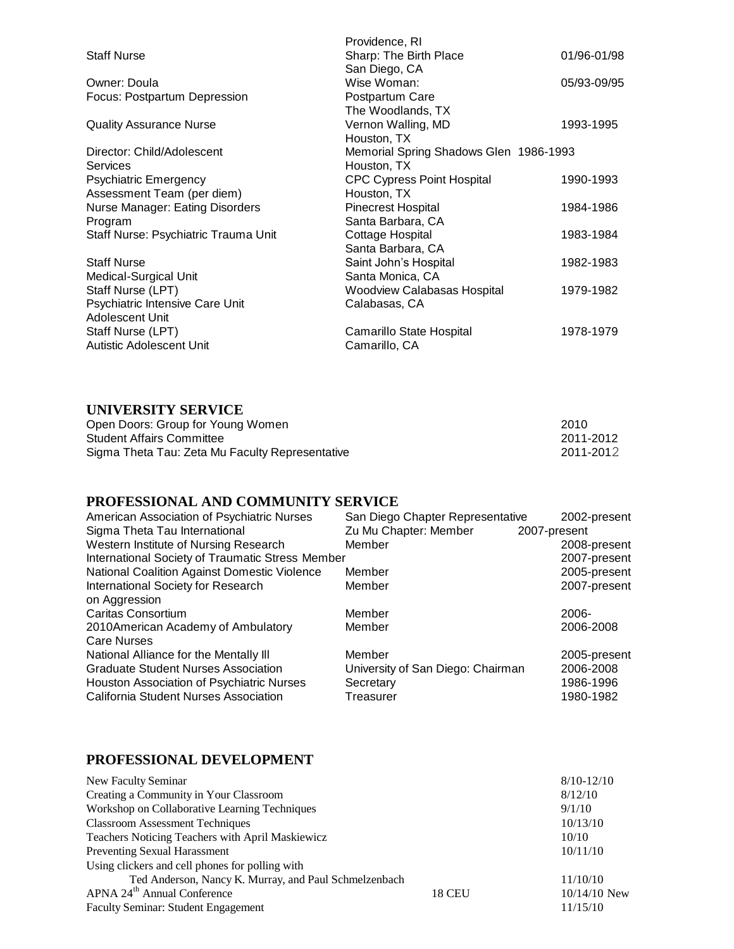|                                      | Providence, RI                         |             |
|--------------------------------------|----------------------------------------|-------------|
| <b>Staff Nurse</b>                   | Sharp: The Birth Place                 | 01/96-01/98 |
|                                      | San Diego, CA                          |             |
| Owner: Doula                         | Wise Woman:                            | 05/93-09/95 |
| Focus: Postpartum Depression         | Postpartum Care                        |             |
|                                      | The Woodlands, TX                      |             |
| <b>Quality Assurance Nurse</b>       | Vernon Walling, MD                     | 1993-1995   |
|                                      | Houston, TX                            |             |
| Director: Child/Adolescent           | Memorial Spring Shadows Glen 1986-1993 |             |
| Services                             | Houston, TX                            |             |
| <b>Psychiatric Emergency</b>         | <b>CPC Cypress Point Hospital</b>      | 1990-1993   |
| Assessment Team (per diem)           | Houston, TX                            |             |
| Nurse Manager: Eating Disorders      | Pinecrest Hospital                     | 1984-1986   |
| Program                              | Santa Barbara, CA                      |             |
| Staff Nurse: Psychiatric Trauma Unit | Cottage Hospital                       | 1983-1984   |
|                                      | Santa Barbara, CA                      |             |
| <b>Staff Nurse</b>                   | Saint John's Hospital                  | 1982-1983   |
| Medical-Surgical Unit                | Santa Monica, CA                       |             |
| Staff Nurse (LPT)                    | <b>Woodview Calabasas Hospital</b>     | 1979-1982   |
| Psychiatric Intensive Care Unit      | Calabasas, CA                          |             |
| Adolescent Unit                      |                                        |             |
| Staff Nurse (LPT)                    | Camarillo State Hospital               | 1978-1979   |
| Autistic Adolescent Unit             | Camarillo, CA                          |             |
|                                      |                                        |             |

## **UNIVERSITY SERVICE**

| Open Doors: Group for Young Women               | 2010      |
|-------------------------------------------------|-----------|
| Student Affairs Committee                       | 2011-2012 |
| Sigma Theta Tau: Zeta Mu Faculty Representative | 2011-2012 |

## **PROFESSIONAL AND COMMUNITY SERVICE**

| American Association of Psychiatric Nurses       | San Diego Chapter Representative  | 2002-present |
|--------------------------------------------------|-----------------------------------|--------------|
| Sigma Theta Tau International                    | Zu Mu Chapter: Member             | 2007-present |
| Western Institute of Nursing Research            | Member                            | 2008-present |
| International Society of Traumatic Stress Member |                                   | 2007-present |
| National Coalition Against Domestic Violence     | Member                            | 2005-present |
| International Society for Research               | Member                            | 2007-present |
| on Aggression                                    |                                   |              |
| Caritas Consortium                               | Member                            | $2006 -$     |
| 2010American Academy of Ambulatory               | Member                            | 2006-2008    |
| <b>Care Nurses</b>                               |                                   |              |
| National Alliance for the Mentally III           | Member                            | 2005-present |
| <b>Graduate Student Nurses Association</b>       | University of San Diego: Chairman | 2006-2008    |
| Houston Association of Psychiatric Nurses        | Secretary                         | 1986-1996    |
| California Student Nurses Association            | Treasurer                         | 1980-1982    |
|                                                  |                                   |              |

## **PROFESSIONAL DEVELOPMENT**

| New Faculty Seminar                                   |               | $8/10 - 12/10$ |
|-------------------------------------------------------|---------------|----------------|
| Creating a Community in Your Classroom                |               | 8/12/10        |
| Workshop on Collaborative Learning Techniques         |               | 9/1/10         |
| <b>Classroom Assessment Techniques</b>                |               | 10/13/10       |
| Teachers Noticing Teachers with April Maskiewicz      |               | 10/10          |
| <b>Preventing Sexual Harassment</b>                   |               | 10/11/10       |
| Using clickers and cell phones for polling with       |               |                |
| Ted Anderson, Nancy K. Murray, and Paul Schmelzenbach |               | 11/10/10       |
| APNA 24 <sup>th</sup> Annual Conference               | <b>18 CEU</b> | $10/14/10$ New |
| <b>Faculty Seminar: Student Engagement</b>            |               | 11/15/10       |